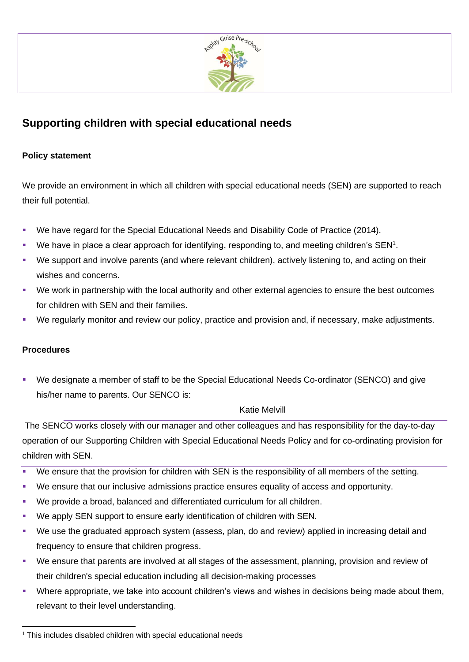

## **Supporting children with special educational needs**

## **Policy statement**

We provide an environment in which all children with special educational needs (SEN) are supported to reach their full potential.

- We have regard for the Special Educational Needs and Disability Code of Practice (2014).
- We have in place a clear approach for identifying, responding to, and meeting children's SEN<sup>1</sup>.
- We support and involve parents (and where relevant children), actively listening to, and acting on their wishes and concerns.
- We work in partnership with the local authority and other external agencies to ensure the best outcomes for children with SEN and their families.
- We regularly monitor and review our policy, practice and provision and, if necessary, make adjustments.

## **Procedures**

We designate a member of staff to be the Special Educational Needs Co-ordinator (SENCO) and give his/her name to parents. Our SENCO is:

## Katie Melvill

The SENCO works closely with our manager and other colleagues and has responsibility for the day-to-day operation of our Supporting Children with Special Educational Needs Policy and for co-ordinating provision for children with SEN.

- We ensure that the provision for children with SEN is the responsibility of all members of the setting.
- We ensure that our inclusive admissions practice ensures equality of access and opportunity.
- We provide a broad, balanced and differentiated curriculum for all children.
- We apply SEN support to ensure early identification of children with SEN.
- We use the graduated approach system (assess, plan, do and review) applied in increasing detail and frequency to ensure that children progress.
- We ensure that parents are involved at all stages of the assessment, planning, provision and review of their children's special education including all decision-making processes
- Where appropriate, we take into account children's views and wishes in decisions being made about them, relevant to their level understanding.

 $1$  This includes disabled children with special educational needs